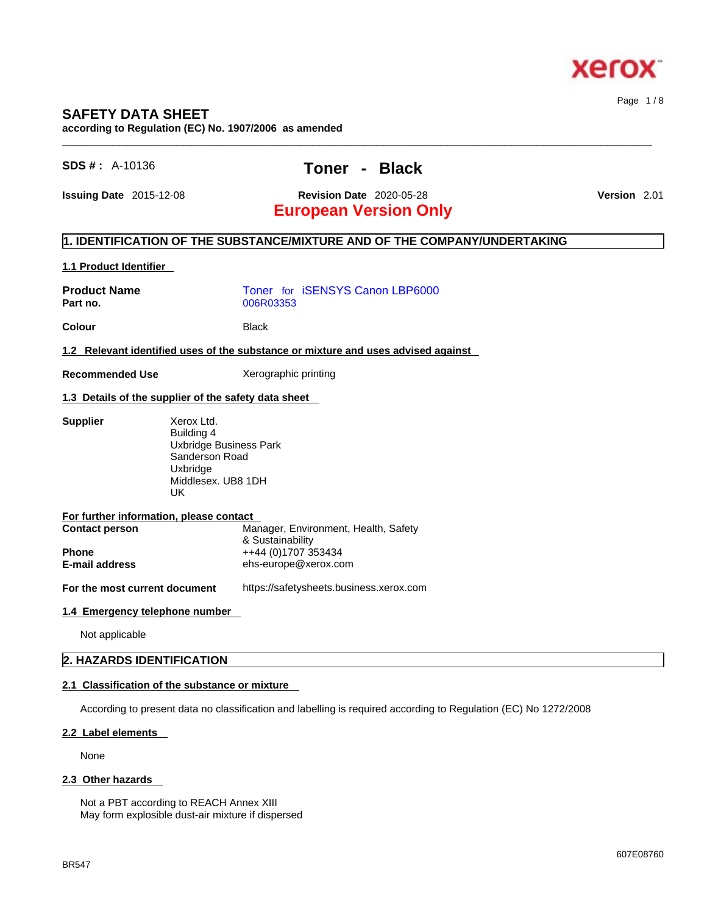

# **SAFETY DATA SHEET**

**according to Regulation (EC) No. 1907/2006 as amended** 

# **SDS # :** A-10136 **Toner - Black**

# **Issuing Date** 2015-12-08 **Revision Date** 2020-05-28 **Version** 2.01

# **European Version Only**

## **1. IDENTIFICATION OF THE SUBSTANCE/MIXTURE AND OF THE COMPANY/UNDERTAKING**

### **1.1 Product Identifier**

| <b>Product Name</b><br>Part no. | Toner for <i>iSENSYS</i> Canon LBP6000<br>006R03353                                     |
|---------------------------------|-----------------------------------------------------------------------------------------|
| Colour                          | <b>Black</b>                                                                            |
|                                 | 1.2 Relevant identified uses of the substance or mixture and uses advised against       |
| <b>Recommended Use</b>          | Xerographic printing                                                                    |
|                                 | 1.3 Details of the supplier of the safety data sheet                                    |
| <b>Supplier</b>                 | Xerox Ltd.<br>Building 4<br><b>Uxbridge Business Park</b><br>Sanderson Road<br>Uxbridge |

# UK

| For further information, please contact |                                      |
|-----------------------------------------|--------------------------------------|
| <b>Contact person</b>                   | Manager, Environment, Health, Safety |
|                                         | & Sustainability                     |
| <b>Phone</b>                            | ++44 (0)1707 353434                  |
| <b>E-mail address</b>                   | ehs-europe@xerox.com                 |

Middlesex. UB8 1DH

**For the most current document** https://safetysheets.business.xerox.com

### **1.4 Emergency telephone number**

Not applicable

## **2. HAZARDS IDENTIFICATION**

### **2.1 Classification of the substance or mixture**

According to present data no classification and labelling is required according to Regulation (EC) No 1272/2008

### **2.2 Label elements**

None

### **2.3 Other hazards**

Not a PBT according to REACH Annex XIII May form explosible dust-air mixture if dispersed

 $\_$  ,  $\_$  ,  $\_$  ,  $\_$  ,  $\_$  ,  $\_$  ,  $\_$  ,  $\_$  ,  $\_$  ,  $\_$  ,  $\_$  ,  $\_$  ,  $\_$  ,  $\_$  ,  $\_$  ,  $\_$  ,  $\_$  ,  $\_$  ,  $\_$  ,  $\_$  ,  $\_$  ,  $\_$  ,  $\_$  ,  $\_$  ,  $\_$  ,  $\_$  ,  $\_$  ,  $\_$  ,  $\_$  ,  $\_$  ,  $\_$  ,  $\_$  ,  $\_$  ,  $\_$  ,  $\_$  ,  $\_$  ,  $\_$  ,

Page 1 / 8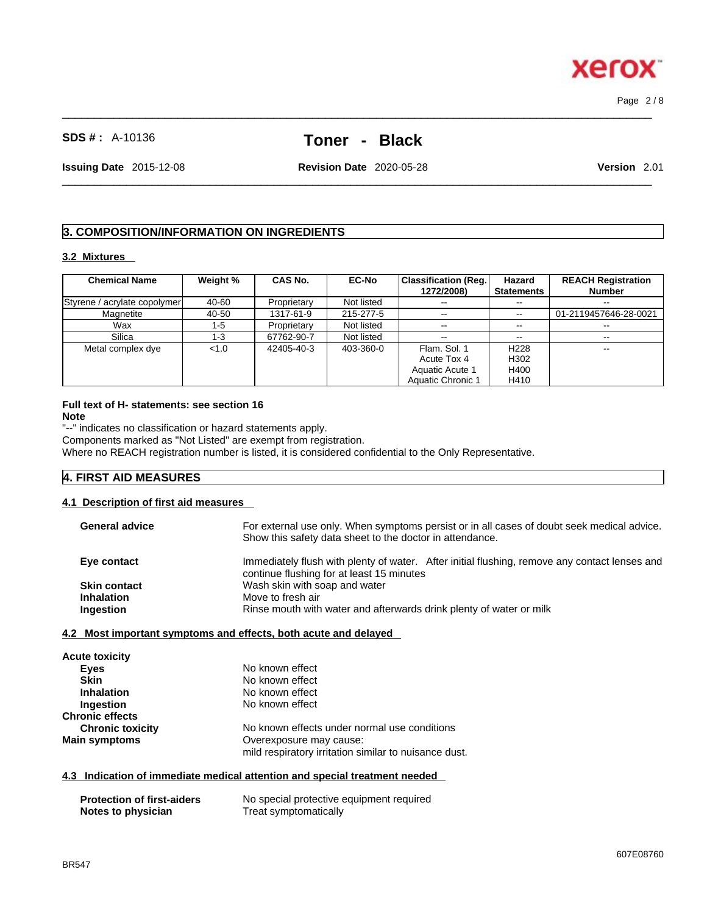607E08760

# **SDS # :** A-10136 **Toner - Black**

 $\_$  ,  $\_$  ,  $\_$  ,  $\_$  ,  $\_$  ,  $\_$  ,  $\_$  ,  $\_$  ,  $\_$  ,  $\_$  ,  $\_$  ,  $\_$  ,  $\_$  ,  $\_$  ,  $\_$  ,  $\_$  ,  $\_$  ,  $\_$  ,  $\_$  ,  $\_$  ,  $\_$  ,  $\_$  ,  $\_$  ,  $\_$  ,  $\_$  ,  $\_$  ,  $\_$  ,  $\_$  ,  $\_$  ,  $\_$  ,  $\_$  ,  $\_$  ,  $\_$  ,  $\_$  ,  $\_$  ,  $\_$  ,  $\_$  ,

**Issuing Date** 2015-12-08 **Revision Date** 2020-05-28 **Version** 2.01

 $\_$  ,  $\_$  ,  $\_$  ,  $\_$  ,  $\_$  ,  $\_$  ,  $\_$  ,  $\_$  ,  $\_$  ,  $\_$  ,  $\_$  ,  $\_$  ,  $\_$  ,  $\_$  ,  $\_$  ,  $\_$  ,  $\_$  ,  $\_$  ,  $\_$  ,  $\_$  ,  $\_$  ,  $\_$  ,  $\_$  ,  $\_$  ,  $\_$  ,  $\_$  ,  $\_$  ,  $\_$  ,  $\_$  ,  $\_$  ,  $\_$  ,  $\_$  ,  $\_$  ,  $\_$  ,  $\_$  ,  $\_$  ,  $\_$  ,

# **3. COMPOSITION/INFORMATION ON INGREDIENTS**

### **3.2 Mixtures**

| <b>Chemical Name</b>         | Weight % | <b>CAS No.</b> | <b>EC-No</b> | Classification (Reg.) | Hazard                   | <b>REACH Registration</b> |
|------------------------------|----------|----------------|--------------|-----------------------|--------------------------|---------------------------|
|                              |          |                |              | 1272/2008)            | <b>Statements</b>        | <b>Number</b>             |
| Styrene / acrylate copolymer | 40-60    | Proprietary    | Not listed   | $- -$                 | --                       | $\overline{\phantom{m}}$  |
| Magnetite                    | 40-50    | 1317-61-9      | 215-277-5    | $\sim$ $\sim$         | $\overline{\phantom{m}}$ | 01-2119457646-28-0021     |
| Wax                          | 1-5      | Proprietary    | Not listed   | $- -$                 | --                       |                           |
| Silica                       | 1-3      | 67762-90-7     | Not listed   | $\sim$ $\sim$         | --                       | $\overline{\phantom{m}}$  |
| Metal complex dye            | < 1.0    | 42405-40-3     | 403-360-0    | Flam, Sol. 1          | H <sub>228</sub>         | --                        |
|                              |          |                |              | Acute Tox 4           | H302                     |                           |
|                              |          |                |              | Aquatic Acute 1       | H400                     |                           |
|                              |          |                |              | Aquatic Chronic 1     | H410                     |                           |

### **Full text of H- statements: see section 16 Note**

"--" indicates no classification or hazard statements apply.

Components marked as "Not Listed" are exempt from registration.

Where no REACH registration number is listed, it is considered confidential to the Only Representative.

## **4. FIRST AID MEASURES**

### **4.1 Description of first aid measures**

| <b>General advice</b> | For external use only. When symptoms persist or in all cases of doubt seek medical advice.<br>Show this safety data sheet to the doctor in attendance. |
|-----------------------|--------------------------------------------------------------------------------------------------------------------------------------------------------|
| Eye contact           | Immediately flush with plenty of water. After initial flushing, remove any contact lenses and<br>continue flushing for at least 15 minutes             |
| <b>Skin contact</b>   | Wash skin with soap and water                                                                                                                          |
| <b>Inhalation</b>     | Move to fresh air                                                                                                                                      |
| Ingestion             | Rinse mouth with water and afterwards drink plenty of water or milk                                                                                    |
|                       |                                                                                                                                                        |

### **4.2 Most important symptoms and effects, both acute and delayed**

| <b>Acute toxicity</b>   |                                                       |  |
|-------------------------|-------------------------------------------------------|--|
| Eyes                    | No known effect                                       |  |
| <b>Skin</b>             | No known effect                                       |  |
| <b>Inhalation</b>       | No known effect                                       |  |
| Ingestion               | No known effect                                       |  |
| <b>Chronic effects</b>  |                                                       |  |
| <b>Chronic toxicity</b> | No known effects under normal use conditions          |  |
| <b>Main symptoms</b>    | Overexposure may cause:                               |  |
|                         | mild respiratory irritation similar to nuisance dust. |  |

### **4.3 Indication of immediate medical attention and special treatment needed**

| <b>Protection of first-aiders</b> | No special protective equipment required |
|-----------------------------------|------------------------------------------|
| Notes to physician                | Treat symptomatically                    |



Page 2 / 8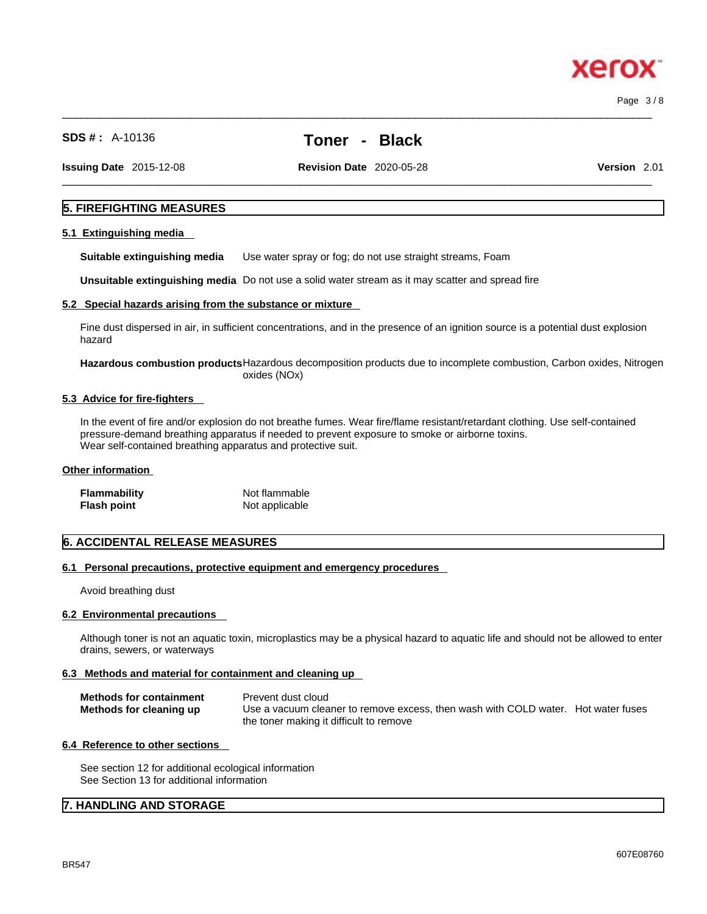xero

**SDS # :** A-10136 **Toner - Black**

**Issuing Date** 2015-12-08 **Revision Date** 2020-05-28 **Version** 2.01

 $\_$  ,  $\_$  ,  $\_$  ,  $\_$  ,  $\_$  ,  $\_$  ,  $\_$  ,  $\_$  ,  $\_$  ,  $\_$  ,  $\_$  ,  $\_$  ,  $\_$  ,  $\_$  ,  $\_$  ,  $\_$  ,  $\_$  ,  $\_$  ,  $\_$  ,  $\_$  ,  $\_$  ,  $\_$  ,  $\_$  ,  $\_$  ,  $\_$  ,  $\_$  ,  $\_$  ,  $\_$  ,  $\_$  ,  $\_$  ,  $\_$  ,  $\_$  ,  $\_$  ,  $\_$  ,  $\_$  ,  $\_$  ,  $\_$  ,

### **5. FIREFIGHTING MEASURES**

### **5.1 Extinguishing media**

**Suitable extinguishing media** Use water spray or fog; do not use straight streams, Foam

**Unsuitable extinguishing media** Do not use a solid water stream as it may scatterand spread fire

### **5.2 Special hazards arising from the substance or mixture**

Fine dust dispersed in air, in sufficient concentrations, and in the presence of an ignition source is a potential dust explosion hazard

**Hazardous combustion products**Hazardous decomposition products due to incomplete combustion, Carbon oxides, Nitrogen oxides (NOx)

### **5.3 Advice for fire-fighters**

In the event of fire and/or explosion do not breathe fumes. Wear fire/flame resistant/retardant clothing. Use self-contained pressure-demand breathing apparatus if needed to prevent exposure to smoke or airborne toxins. Wear self-contained breathing apparatus and protective suit.

### **Other information**

| Flammability | Not flammable  |
|--------------|----------------|
| Flash point  | Not applicable |

### **6. ACCIDENTAL RELEASE MEASURES**

### **6.1 Personal precautions, protective equipment and emergency procedures**

Avoid breathing dust

### **6.2 Environmental precautions**

Although toner is not an aquatic toxin, microplastics may be a physical hazard to aquatic life and should not be allowed to enter drains, sewers, or waterways

### **6.3 Methods and material for containment and cleaning up**

| <b>Methods for containment</b> | Prevent dust cloud                                                                |
|--------------------------------|-----------------------------------------------------------------------------------|
| Methods for cleaning up        | Use a vacuum cleaner to remove excess, then wash with COLD water. Hot water fuses |
|                                | the toner making it difficult to remove                                           |

### **6.4 Reference to other sections**

See section 12 for additional ecological information See Section 13 for additional information

### **7. HANDLING AND STORAGE**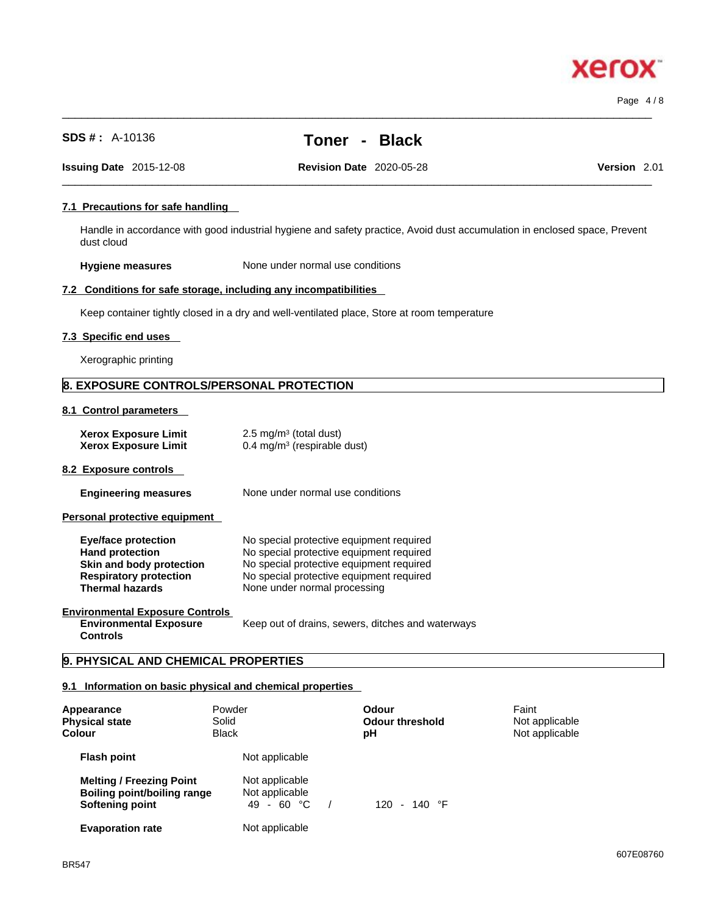**Xerox** 

| <b>Hygiene measures</b>                                                                                                                     |                                                                                                                                                                                                              | None under normal use conditions                                              |          |                                                   |  |                                           |      |
|---------------------------------------------------------------------------------------------------------------------------------------------|--------------------------------------------------------------------------------------------------------------------------------------------------------------------------------------------------------------|-------------------------------------------------------------------------------|----------|---------------------------------------------------|--|-------------------------------------------|------|
| 7.2 Conditions for safe storage, including any incompatibilities                                                                            |                                                                                                                                                                                                              |                                                                               |          |                                                   |  |                                           |      |
| Keep container tightly closed in a dry and well-ventilated place, Store at room temperature                                                 |                                                                                                                                                                                                              |                                                                               |          |                                                   |  |                                           |      |
| 7.3 Specific end uses                                                                                                                       |                                                                                                                                                                                                              |                                                                               |          |                                                   |  |                                           |      |
| Xerographic printing                                                                                                                        |                                                                                                                                                                                                              |                                                                               |          |                                                   |  |                                           |      |
| 8. EXPOSURE CONTROLS/PERSONAL PROTECTION                                                                                                    |                                                                                                                                                                                                              |                                                                               |          |                                                   |  |                                           |      |
| 8.1 Control parameters                                                                                                                      |                                                                                                                                                                                                              |                                                                               |          |                                                   |  |                                           |      |
| <b>Xerox Exposure Limit</b><br><b>Xerox Exposure Limit</b>                                                                                  |                                                                                                                                                                                                              | 2.5 mg/m <sup>3</sup> (total dust)<br>0.4 mg/m <sup>3</sup> (respirable dust) |          |                                                   |  |                                           |      |
| 8.2 Exposure controls                                                                                                                       |                                                                                                                                                                                                              |                                                                               |          |                                                   |  |                                           |      |
| <b>Engineering measures</b>                                                                                                                 |                                                                                                                                                                                                              | None under normal use conditions                                              |          |                                                   |  |                                           |      |
| Personal protective equipment                                                                                                               |                                                                                                                                                                                                              |                                                                               |          |                                                   |  |                                           |      |
| <b>Eye/face protection</b><br><b>Hand protection</b><br>Skin and body protection<br><b>Respiratory protection</b><br><b>Thermal hazards</b> | No special protective equipment required<br>No special protective equipment required<br>No special protective equipment required<br>No special protective equipment required<br>None under normal processing |                                                                               |          |                                                   |  |                                           |      |
| <b>Environmental Exposure Controls</b><br><b>Environmental Exposure</b><br><b>Controls</b>                                                  |                                                                                                                                                                                                              |                                                                               |          | Keep out of drains, sewers, ditches and waterways |  |                                           |      |
| 9. PHYSICAL AND CHEMICAL PROPERTIES                                                                                                         |                                                                                                                                                                                                              |                                                                               |          |                                                   |  |                                           |      |
| 9.1 Information on basic physical and chemical properties                                                                                   |                                                                                                                                                                                                              |                                                                               |          |                                                   |  |                                           |      |
| Appearance<br><b>Physical state</b><br>Colour                                                                                               | Powder<br>Solid<br><b>Black</b>                                                                                                                                                                              |                                                                               |          | <b>Odour</b><br><b>Odour threshold</b><br>рH      |  | Faint<br>Not applicable<br>Not applicable |      |
| <b>Flash point</b>                                                                                                                          |                                                                                                                                                                                                              | Not applicable                                                                |          |                                                   |  |                                           |      |
| <b>Melting / Freezing Point</b><br><b>Boiling point/boiling range</b><br><b>Softening point</b>                                             |                                                                                                                                                                                                              | Not applicable<br>Not applicable<br>49 - 60 °C                                | $\prime$ | 120 - 140 °F                                      |  |                                           |      |
| <b>Evaporation rate</b>                                                                                                                     |                                                                                                                                                                                                              | Not applicable                                                                |          |                                                   |  |                                           |      |
| DDE 47                                                                                                                                      |                                                                                                                                                                                                              |                                                                               |          |                                                   |  |                                           | 607E |
|                                                                                                                                             |                                                                                                                                                                                                              |                                                                               |          |                                                   |  |                                           |      |

**SDS # :** A-10136 **Toner - Black**

 $\_$  ,  $\_$  ,  $\_$  ,  $\_$  ,  $\_$  ,  $\_$  ,  $\_$  ,  $\_$  ,  $\_$  ,  $\_$  ,  $\_$  ,  $\_$  ,  $\_$  ,  $\_$  ,  $\_$  ,  $\_$  ,  $\_$  ,  $\_$  ,  $\_$  ,  $\_$  ,  $\_$  ,  $\_$  ,  $\_$  ,  $\_$  ,  $\_$  ,  $\_$  ,  $\_$  ,  $\_$  ,  $\_$  ,  $\_$  ,  $\_$  ,  $\_$  ,  $\_$  ,  $\_$  ,  $\_$  ,  $\_$  ,  $\_$  ,

 $\_$  ,  $\_$  ,  $\_$  ,  $\_$  ,  $\_$  ,  $\_$  ,  $\_$  ,  $\_$  ,  $\_$  ,  $\_$  ,  $\_$  ,  $\_$  ,  $\_$  ,  $\_$  ,  $\_$  ,  $\_$  ,  $\_$  ,  $\_$  ,  $\_$  ,  $\_$  ,  $\_$  ,  $\_$  ,  $\_$  ,  $\_$  ,  $\_$  ,  $\_$  ,  $\_$  ,  $\_$  ,  $\_$  ,  $\_$  ,  $\_$  ,  $\_$  ,  $\_$  ,  $\_$  ,  $\_$  ,  $\_$  ,  $\_$  , **Issuing Date** 2015-12-08 **Revision Date** 2020-05-28 **Version** 2.01

# **7.1 Precautions for safe handling**

Handle in accordance with good industrial hygiene and safety practice, Avoid dust accumulation in enclosed space, Prevent dust cloud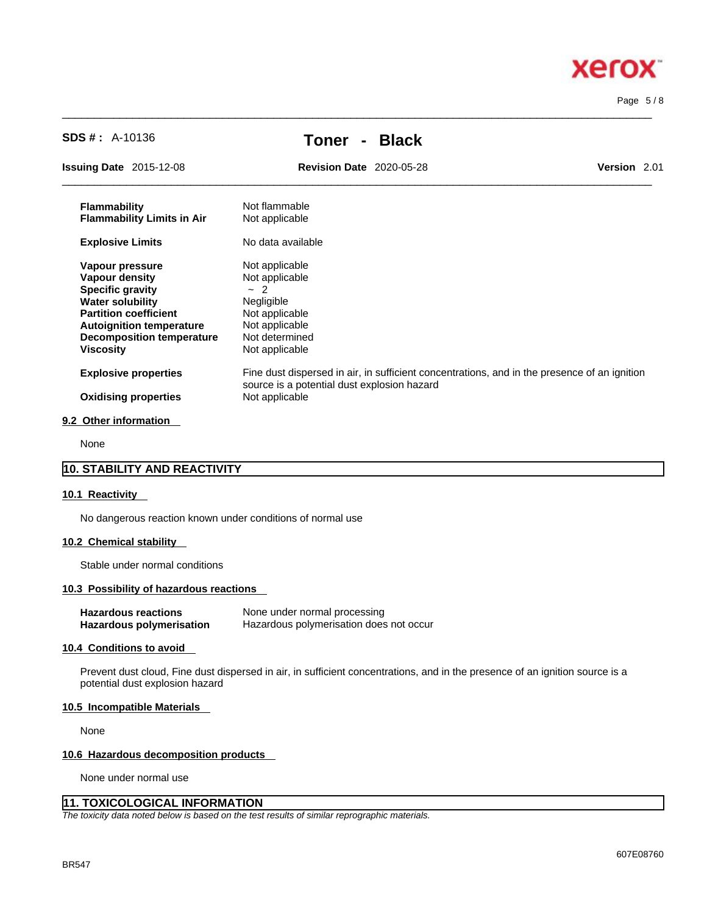

Page 5 / 8

| <b>SDS # :</b> A-10136                                                                                                                                                                                             | <b>Black</b><br>Toner                                                                                                                                         |              |
|--------------------------------------------------------------------------------------------------------------------------------------------------------------------------------------------------------------------|---------------------------------------------------------------------------------------------------------------------------------------------------------------|--------------|
| <b>Issuing Date</b> 2015-12-08                                                                                                                                                                                     | <b>Revision Date 2020-05-28</b>                                                                                                                               | Version 2.01 |
| <b>Flammability</b><br><b>Flammability Limits in Air</b>                                                                                                                                                           | Not flammable<br>Not applicable                                                                                                                               |              |
| <b>Explosive Limits</b>                                                                                                                                                                                            | No data available                                                                                                                                             |              |
| Vapour pressure<br><b>Vapour density</b><br><b>Specific gravity</b><br><b>Water solubility</b><br><b>Partition coefficient</b><br><b>Autoignition temperature</b><br><b>Decomposition temperature</b><br>Viscosity | Not applicable<br>Not applicable<br>$-2$<br>Negligible<br>Not applicable<br>Not applicable<br>Not determined<br>Not applicable                                |              |
| <b>Explosive properties</b><br><b>Oxidising properties</b>                                                                                                                                                         | Fine dust dispersed in air, in sufficient concentrations, and in the presence of an ignition<br>source is a potential dust explosion hazard<br>Not applicable |              |
| 9.2 Other information                                                                                                                                                                                              |                                                                                                                                                               |              |

 $\_$  ,  $\_$  ,  $\_$  ,  $\_$  ,  $\_$  ,  $\_$  ,  $\_$  ,  $\_$  ,  $\_$  ,  $\_$  ,  $\_$  ,  $\_$  ,  $\_$  ,  $\_$  ,  $\_$  ,  $\_$  ,  $\_$  ,  $\_$  ,  $\_$  ,  $\_$  ,  $\_$  ,  $\_$  ,  $\_$  ,  $\_$  ,  $\_$  ,  $\_$  ,  $\_$  ,  $\_$  ,  $\_$  ,  $\_$  ,  $\_$  ,  $\_$  ,  $\_$  ,  $\_$  ,  $\_$  ,  $\_$  ,  $\_$  ,

None

### **10. STABILITY AND REACTIVITY**

### **10.1 Reactivity**

No dangerous reaction known under conditions of normal use

### **10.2 Chemical stability**

Stable under normal conditions

### **10.3 Possibility of hazardous reactions**

| <b>Hazardous reactions</b> | None under normal processing            |
|----------------------------|-----------------------------------------|
| Hazardous polymerisation   | Hazardous polymerisation does not occur |

### **10.4 Conditions to avoid**

Prevent dust cloud, Fine dust dispersed in air, in sufficient concentrations, and in the presence of an ignition source is a potential dust explosion hazard

### **10.5 Incompatible Materials**

None

### **10.6 Hazardous decomposition products**

None under normal use

# **11. TOXICOLOGICAL INFORMATION**

*The toxicity data noted below is based on the test results of similar reprographic materials.*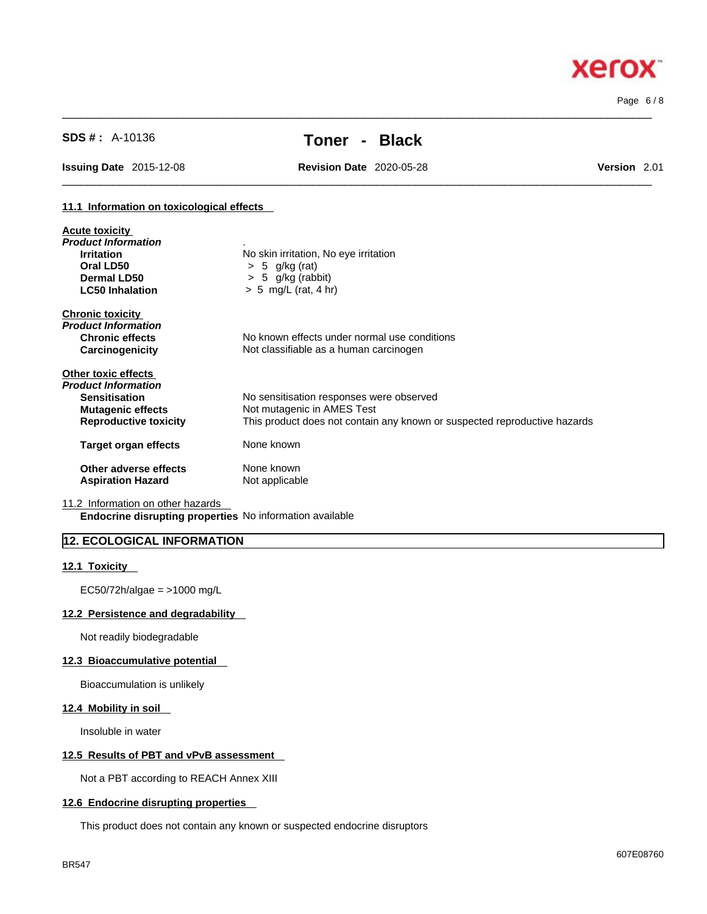Page 6 / 8

**Xerox** 

# **SDS # :** A-10136 **Toner - Black**

 $\_$  ,  $\_$  ,  $\_$  ,  $\_$  ,  $\_$  ,  $\_$  ,  $\_$  ,  $\_$  ,  $\_$  ,  $\_$  ,  $\_$  ,  $\_$  ,  $\_$  ,  $\_$  ,  $\_$  ,  $\_$  ,  $\_$  ,  $\_$  ,  $\_$  ,  $\_$  ,  $\_$  ,  $\_$  ,  $\_$  ,  $\_$  ,  $\_$  ,  $\_$  ,  $\_$  ,  $\_$  ,  $\_$  ,  $\_$  ,  $\_$  ,  $\_$  ,  $\_$  ,  $\_$  ,  $\_$  ,  $\_$  ,  $\_$  ,

**Issuing Date** 2015-12-08 **Revision Date** 2020-05-28 **Version** 2.01

 $\_$  ,  $\_$  ,  $\_$  ,  $\_$  ,  $\_$  ,  $\_$  ,  $\_$  ,  $\_$  ,  $\_$  ,  $\_$  ,  $\_$  ,  $\_$  ,  $\_$  ,  $\_$  ,  $\_$  ,  $\_$  ,  $\_$  ,  $\_$  ,  $\_$  ,  $\_$  ,  $\_$  ,  $\_$  ,  $\_$  ,  $\_$  ,  $\_$  ,  $\_$  ,  $\_$  ,  $\_$  ,  $\_$  ,  $\_$  ,  $\_$  ,  $\_$  ,  $\_$  ,  $\_$  ,  $\_$  ,  $\_$  ,  $\_$  ,

### **11.1 Information on toxicological effects**

| <b>Acute toxicity</b>        |                                                                           |
|------------------------------|---------------------------------------------------------------------------|
| Product Information          |                                                                           |
| <b>Irritation</b>            | No skin irritation, No eye irritation                                     |
| Oral LD50                    | $> 5$ g/kg (rat)                                                          |
| Dermal LD50                  | $> 5$ g/kg (rabbit)                                                       |
| <b>LC50 Inhalation</b>       | $> 5$ mg/L (rat, 4 hr)                                                    |
| <b>Chronic toxicity</b>      |                                                                           |
| Product Information          |                                                                           |
| <b>Chronic effects</b>       | No known effects under normal use conditions                              |
| Carcinogenicity              | Not classifiable as a human carcinogen                                    |
| Other toxic effects          |                                                                           |
| Product Information          |                                                                           |
| <b>Sensitisation</b>         | No sensitisation responses were observed                                  |
| <b>Mutagenic effects</b>     | Not mutagenic in AMES Test                                                |
| <b>Reproductive toxicity</b> | This product does not contain any known or suspected reproductive hazards |
| Target organ effects         | None known                                                                |
| Other adverse effects        | None known                                                                |
| <b>Aspiration Hazard</b>     | Not applicable                                                            |

11.2 Information on other hazards

**Endocrine disrupting properties** No information available

## **12. ECOLOGICAL INFORMATION**

### **12.1 Toxicity**

EC50/72h/algae = >1000 mg/L

### **12.2 Persistence and degradability**

Not readily biodegradable

### **12.3 Bioaccumulative potential**

Bioaccumulation is unlikely

### **12.4 Mobility in soil**

Insoluble in water

### **12.5 Results of PBT and vPvB assessment**

Not a PBT according to REACH Annex XIII

### **12.6 Endocrine disrupting properties**

This product does not contain any known or suspected endocrine disruptors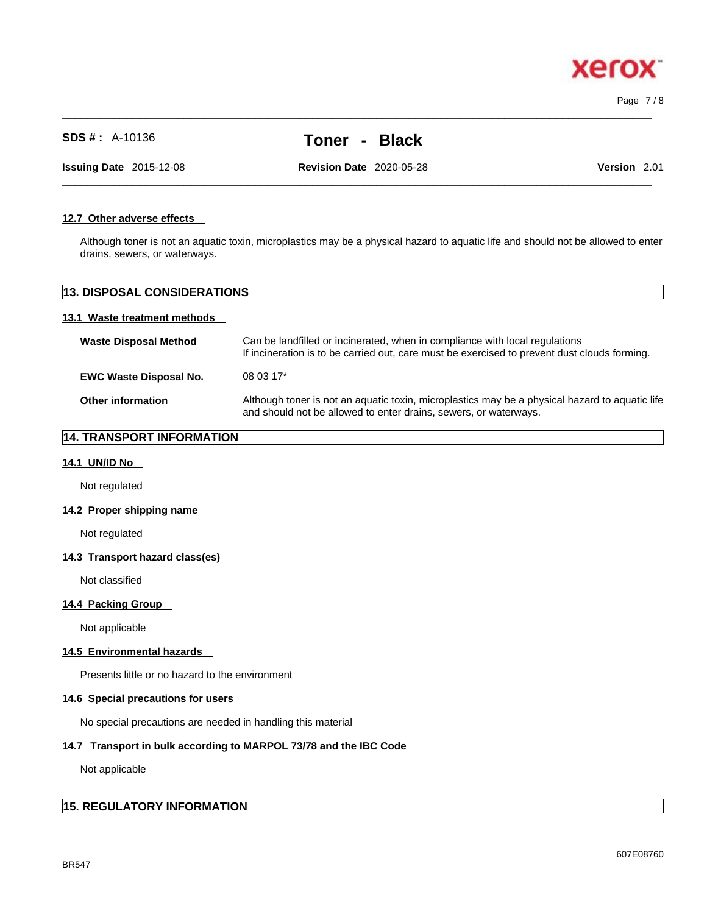**xero** 

**SDS # :** A-10136 **Toner - Black**

 $\_$  ,  $\_$  ,  $\_$  ,  $\_$  ,  $\_$  ,  $\_$  ,  $\_$  ,  $\_$  ,  $\_$  ,  $\_$  ,  $\_$  ,  $\_$  ,  $\_$  ,  $\_$  ,  $\_$  ,  $\_$  ,  $\_$  ,  $\_$  ,  $\_$  ,  $\_$  ,  $\_$  ,  $\_$  ,  $\_$  ,  $\_$  ,  $\_$  ,  $\_$  ,  $\_$  ,  $\_$  ,  $\_$  ,  $\_$  ,  $\_$  ,  $\_$  ,  $\_$  ,  $\_$  ,  $\_$  ,  $\_$  ,  $\_$  ,

 $\_$  ,  $\_$  ,  $\_$  ,  $\_$  ,  $\_$  ,  $\_$  ,  $\_$  ,  $\_$  ,  $\_$  ,  $\_$  ,  $\_$  ,  $\_$  ,  $\_$  ,  $\_$  ,  $\_$  ,  $\_$  ,  $\_$  ,  $\_$  ,  $\_$  ,  $\_$  ,  $\_$  ,  $\_$  ,  $\_$  ,  $\_$  ,  $\_$  ,  $\_$  ,  $\_$  ,  $\_$  ,  $\_$  ,  $\_$  ,  $\_$  ,  $\_$  ,  $\_$  ,  $\_$  ,  $\_$  ,  $\_$  ,  $\_$  , **Issuing Date** 2015-12-08 **Revision Date** 2020-05-28 **Version** 2.01

### **12.7 Other adverse effects**

Although toner is not an aquatic toxin, microplastics may be a physical hazard to aquatic life and should not be allowed to enter drains, sewers, or waterways.

# **13. DISPOSAL CONSIDERATIONS**

### **13.1 Waste treatment methods**

| <b>Waste Disposal Method</b>  | Can be landfilled or incinerated, when in compliance with local regulations<br>If incineration is to be carried out, care must be exercised to prevent dust clouds forming. |
|-------------------------------|-----------------------------------------------------------------------------------------------------------------------------------------------------------------------------|
| <b>EWC Waste Disposal No.</b> | 08 03 17*                                                                                                                                                                   |
| <b>Other information</b>      | Although toner is not an aquatic toxin, microplastics may be a physical hazard to aquatic life<br>and should not be allowed to enter drains, sewers, or waterways.          |

## **14. TRANSPORT INFORMATION**

### **14.1 UN/ID No**

Not regulated

### **14.2 Proper shipping name**

Not regulated

### **14.3 Transport hazard class(es)**

Not classified

### **14.4 Packing Group**

Not applicable

### **14.5 Environmental hazards**

Presents little or no hazard to the environment

### **14.6 Special precautions for users**

No special precautions are needed in handling this material

### **14.7 Transport in bulk according to MARPOL 73/78 and the IBC Code**

Not applicable

# **15. REGULATORY INFORMATION**